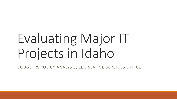# Evaluating Major IT Projects in Idaho

BUDGET & POLICY ANALYSIS, LEGISLATIVE SERVICES OFFICE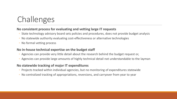# Challenges

### **No consistent process for evaluating and vetting large IT requests**

- State technology advisory board sets policies and procedures, does not provide budget analysis
- No statewide authority evaluating cost-effectiveness or alternative technologies
- No formal vetting process

### **No in-house technical expertise on the budget staff**

- Agencies can provide very little detail about the research behind the budget request or,
- Agencies can provide large amounts of highly technical detail not understandable to the layman

### **No statewide tracking of major IT expenditures**

- Projects tracked within individual agencies, but no monitoring of expenditures statewide
- No centralized tracking of appropriations, reversions, and carryover from year to year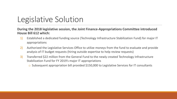## Legislative Solution

#### **During the 2018 legislative session, the Joint Finance-Appropriations Committee introduced House Bill 612 which:**

- 1) Established a dedicated funding source (Technology Infrastructure Stabilization Fund) for major IT appropriations
- 2) Authorized the Legislative Services Office to utilize moneys from the fund to evaluate and provide analysis of IT budget requests (hiring outside expertise to help review requests)
- 3) Transferred \$22 million from the General Fund to the newly created Technology Infrastructure Stabilization Fund for FY 2019's major IT appropriations
	- o Subsequent appropriation bill provided \$150,000 to Legislative Services for IT consultants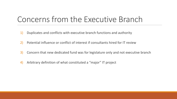### Concerns from the Executive Branch

- 1) Duplicates and conflicts with executive branch functions and authority
- 2) Potential influence or conflict of interest if consultants hired for IT review
- 3) Concern that new dedicated fund was for legislature only and not executive branch
- 4) Arbitrary definition of what constituted a "major" IT project